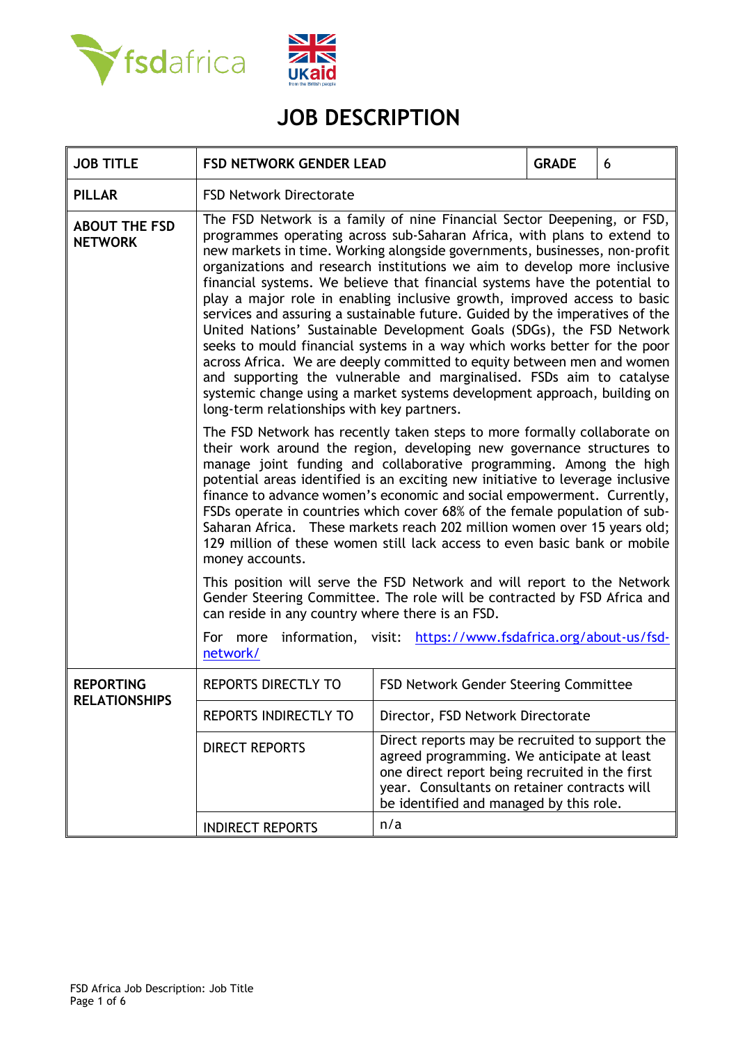



# **JOB DESCRIPTION**

| <b>JOB TITLE</b>                       | <b>FSD NETWORK GENDER LEAD</b>                                                                                                                                                                                                                                                                                                                                                                                                                                                                                                                                                                                                                                                                                                                                                                                                                                                                                                                                                           | <b>GRADE</b><br>6                                                                                                                                                                                                                         |  |  |  |
|----------------------------------------|------------------------------------------------------------------------------------------------------------------------------------------------------------------------------------------------------------------------------------------------------------------------------------------------------------------------------------------------------------------------------------------------------------------------------------------------------------------------------------------------------------------------------------------------------------------------------------------------------------------------------------------------------------------------------------------------------------------------------------------------------------------------------------------------------------------------------------------------------------------------------------------------------------------------------------------------------------------------------------------|-------------------------------------------------------------------------------------------------------------------------------------------------------------------------------------------------------------------------------------------|--|--|--|
| <b>PILLAR</b>                          | <b>FSD Network Directorate</b>                                                                                                                                                                                                                                                                                                                                                                                                                                                                                                                                                                                                                                                                                                                                                                                                                                                                                                                                                           |                                                                                                                                                                                                                                           |  |  |  |
| <b>ABOUT THE FSD</b><br><b>NETWORK</b> | The FSD Network is a family of nine Financial Sector Deepening, or FSD,<br>programmes operating across sub-Saharan Africa, with plans to extend to<br>new markets in time. Working alongside governments, businesses, non-profit<br>organizations and research institutions we aim to develop more inclusive<br>financial systems. We believe that financial systems have the potential to<br>play a major role in enabling inclusive growth, improved access to basic<br>services and assuring a sustainable future. Guided by the imperatives of the<br>United Nations' Sustainable Development Goals (SDGs), the FSD Network<br>seeks to mould financial systems in a way which works better for the poor<br>across Africa. We are deeply committed to equity between men and women<br>and supporting the vulnerable and marginalised. FSDs aim to catalyse<br>systemic change using a market systems development approach, building on<br>long-term relationships with key partners. |                                                                                                                                                                                                                                           |  |  |  |
|                                        | The FSD Network has recently taken steps to more formally collaborate on<br>their work around the region, developing new governance structures to<br>manage joint funding and collaborative programming. Among the high<br>potential areas identified is an exciting new initiative to leverage inclusive<br>finance to advance women's economic and social empowerment. Currently,<br>FSDs operate in countries which cover 68% of the female population of sub-<br>Saharan Africa. These markets reach 202 million women over 15 years old;<br>129 million of these women still lack access to even basic bank or mobile<br>money accounts.                                                                                                                                                                                                                                                                                                                                            |                                                                                                                                                                                                                                           |  |  |  |
|                                        | This position will serve the FSD Network and will report to the Network<br>Gender Steering Committee. The role will be contracted by FSD Africa and<br>can reside in any country where there is an FSD.                                                                                                                                                                                                                                                                                                                                                                                                                                                                                                                                                                                                                                                                                                                                                                                  |                                                                                                                                                                                                                                           |  |  |  |
|                                        | information, visit: https://www.fsdafrica.org/about-us/fsd-<br>For more<br>network/                                                                                                                                                                                                                                                                                                                                                                                                                                                                                                                                                                                                                                                                                                                                                                                                                                                                                                      |                                                                                                                                                                                                                                           |  |  |  |
| <b>REPORTING</b>                       | REPORTS DIRECTLY TO                                                                                                                                                                                                                                                                                                                                                                                                                                                                                                                                                                                                                                                                                                                                                                                                                                                                                                                                                                      | FSD Network Gender Steering Committee                                                                                                                                                                                                     |  |  |  |
| <b>RELATIONSHIPS</b>                   | <b>REPORTS INDIRECTLY TO</b>                                                                                                                                                                                                                                                                                                                                                                                                                                                                                                                                                                                                                                                                                                                                                                                                                                                                                                                                                             | Director, FSD Network Directorate                                                                                                                                                                                                         |  |  |  |
|                                        | <b>DIRECT REPORTS</b>                                                                                                                                                                                                                                                                                                                                                                                                                                                                                                                                                                                                                                                                                                                                                                                                                                                                                                                                                                    | Direct reports may be recruited to support the<br>agreed programming. We anticipate at least<br>one direct report being recruited in the first<br>year. Consultants on retainer contracts will<br>be identified and managed by this role. |  |  |  |
|                                        | <b>INDIRECT REPORTS</b>                                                                                                                                                                                                                                                                                                                                                                                                                                                                                                                                                                                                                                                                                                                                                                                                                                                                                                                                                                  | n/a                                                                                                                                                                                                                                       |  |  |  |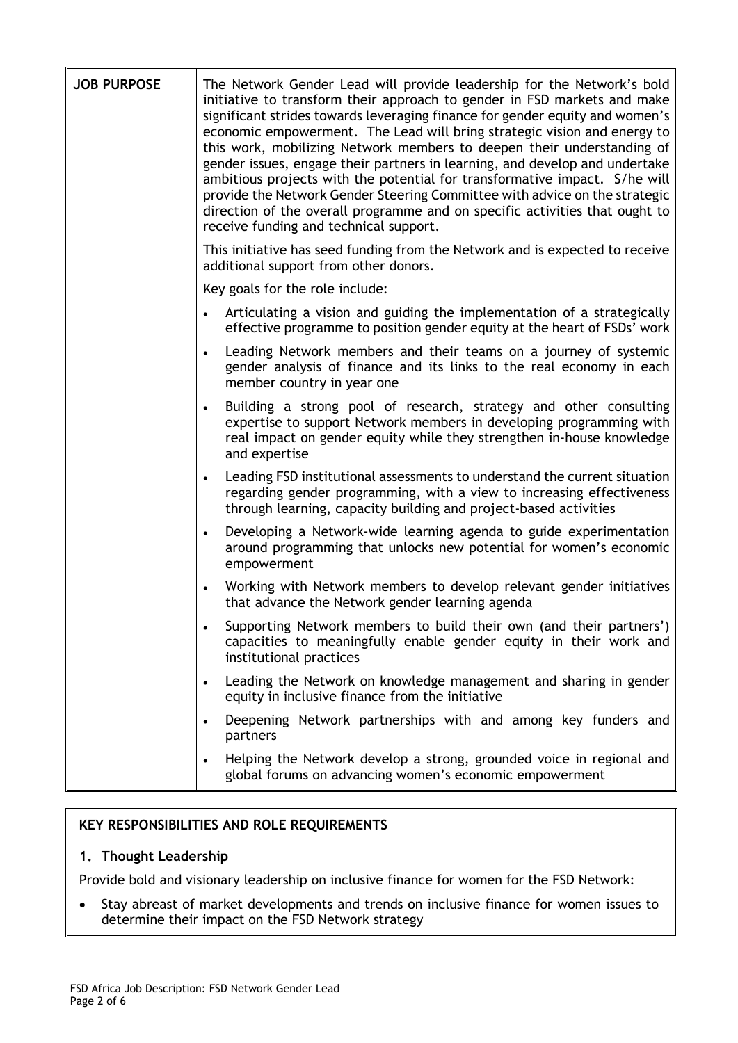| <b>JOB PURPOSE</b> | The Network Gender Lead will provide leadership for the Network's bold<br>initiative to transform their approach to gender in FSD markets and make<br>significant strides towards leveraging finance for gender equity and women's<br>economic empowerment. The Lead will bring strategic vision and energy to<br>this work, mobilizing Network members to deepen their understanding of<br>gender issues, engage their partners in learning, and develop and undertake<br>ambitious projects with the potential for transformative impact. S/he will<br>provide the Network Gender Steering Committee with advice on the strategic<br>direction of the overall programme and on specific activities that ought to<br>receive funding and technical support. |  |  |
|--------------------|--------------------------------------------------------------------------------------------------------------------------------------------------------------------------------------------------------------------------------------------------------------------------------------------------------------------------------------------------------------------------------------------------------------------------------------------------------------------------------------------------------------------------------------------------------------------------------------------------------------------------------------------------------------------------------------------------------------------------------------------------------------|--|--|
|                    | This initiative has seed funding from the Network and is expected to receive<br>additional support from other donors.                                                                                                                                                                                                                                                                                                                                                                                                                                                                                                                                                                                                                                        |  |  |
|                    | Key goals for the role include:                                                                                                                                                                                                                                                                                                                                                                                                                                                                                                                                                                                                                                                                                                                              |  |  |
|                    | Articulating a vision and guiding the implementation of a strategically<br>effective programme to position gender equity at the heart of FSDs' work                                                                                                                                                                                                                                                                                                                                                                                                                                                                                                                                                                                                          |  |  |
|                    | Leading Network members and their teams on a journey of systemic<br>$\bullet$<br>gender analysis of finance and its links to the real economy in each<br>member country in year one                                                                                                                                                                                                                                                                                                                                                                                                                                                                                                                                                                          |  |  |
|                    | Building a strong pool of research, strategy and other consulting<br>$\bullet$<br>expertise to support Network members in developing programming with<br>real impact on gender equity while they strengthen in-house knowledge<br>and expertise                                                                                                                                                                                                                                                                                                                                                                                                                                                                                                              |  |  |
|                    | Leading FSD institutional assessments to understand the current situation<br>regarding gender programming, with a view to increasing effectiveness<br>through learning, capacity building and project-based activities                                                                                                                                                                                                                                                                                                                                                                                                                                                                                                                                       |  |  |
|                    | Developing a Network-wide learning agenda to guide experimentation<br>around programming that unlocks new potential for women's economic<br>empowerment                                                                                                                                                                                                                                                                                                                                                                                                                                                                                                                                                                                                      |  |  |
|                    | Working with Network members to develop relevant gender initiatives<br>that advance the Network gender learning agenda                                                                                                                                                                                                                                                                                                                                                                                                                                                                                                                                                                                                                                       |  |  |
|                    | Supporting Network members to build their own (and their partners')<br>capacities to meaningfully enable gender equity in their work and<br>institutional practices                                                                                                                                                                                                                                                                                                                                                                                                                                                                                                                                                                                          |  |  |
|                    | Leading the Network on knowledge management and sharing in gender<br>equity in inclusive finance from the initiative                                                                                                                                                                                                                                                                                                                                                                                                                                                                                                                                                                                                                                         |  |  |
|                    | Deepening Network partnerships with and among key funders and<br>partners                                                                                                                                                                                                                                                                                                                                                                                                                                                                                                                                                                                                                                                                                    |  |  |
|                    | Helping the Network develop a strong, grounded voice in regional and<br>global forums on advancing women's economic empowerment                                                                                                                                                                                                                                                                                                                                                                                                                                                                                                                                                                                                                              |  |  |

## **KEY RESPONSIBILITIES AND ROLE REQUIREMENTS**

### **1. Thought Leadership**

Provide bold and visionary leadership on inclusive finance for women for the FSD Network:

• Stay abreast of market developments and trends on inclusive finance for women issues to determine their impact on the FSD Network strategy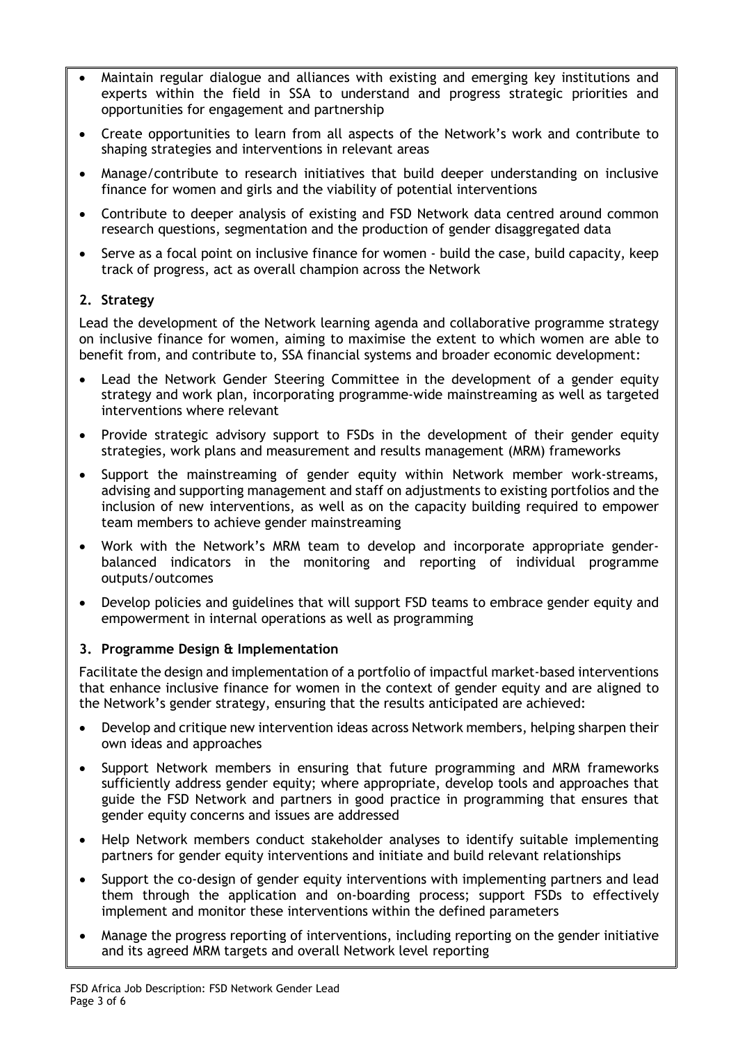- Maintain regular dialogue and alliances with existing and emerging key institutions and experts within the field in SSA to understand and progress strategic priorities and opportunities for engagement and partnership
- Create opportunities to learn from all aspects of the Network's work and contribute to shaping strategies and interventions in relevant areas
- Manage/contribute to research initiatives that build deeper understanding on inclusive finance for women and girls and the viability of potential interventions
- Contribute to deeper analysis of existing and FSD Network data centred around common research questions, segmentation and the production of gender disaggregated data
- Serve as a focal point on inclusive finance for women build the case, build capacity, keep track of progress, act as overall champion across the Network

## **2. Strategy**

Lead the development of the Network learning agenda and collaborative programme strategy on inclusive finance for women, aiming to maximise the extent to which women are able to benefit from, and contribute to, SSA financial systems and broader economic development:

- Lead the Network Gender Steering Committee in the development of a gender equity strategy and work plan, incorporating programme-wide mainstreaming as well as targeted interventions where relevant
- Provide strategic advisory support to FSDs in the development of their gender equity strategies, work plans and measurement and results management (MRM) frameworks
- Support the mainstreaming of gender equity within Network member work-streams, advising and supporting management and staff on adjustments to existing portfolios and the inclusion of new interventions, as well as on the capacity building required to empower team members to achieve gender mainstreaming
- Work with the Network's MRM team to develop and incorporate appropriate genderbalanced indicators in the monitoring and reporting of individual programme outputs/outcomes
- Develop policies and guidelines that will support FSD teams to embrace gender equity and empowerment in internal operations as well as programming

### **3. Programme Design & Implementation**

Facilitate the design and implementation of a portfolio of impactful market-based interventions that enhance inclusive finance for women in the context of gender equity and are aligned to the Network's gender strategy, ensuring that the results anticipated are achieved:

- Develop and critique new intervention ideas across Network members, helping sharpen their own ideas and approaches
- Support Network members in ensuring that future programming and MRM frameworks sufficiently address gender equity; where appropriate, develop tools and approaches that guide the FSD Network and partners in good practice in programming that ensures that gender equity concerns and issues are addressed
- Help Network members conduct stakeholder analyses to identify suitable implementing partners for gender equity interventions and initiate and build relevant relationships
- Support the co-design of gender equity interventions with implementing partners and lead them through the application and on-boarding process; support FSDs to effectively implement and monitor these interventions within the defined parameters
- Manage the progress reporting of interventions, including reporting on the gender initiative and its agreed MRM targets and overall Network level reporting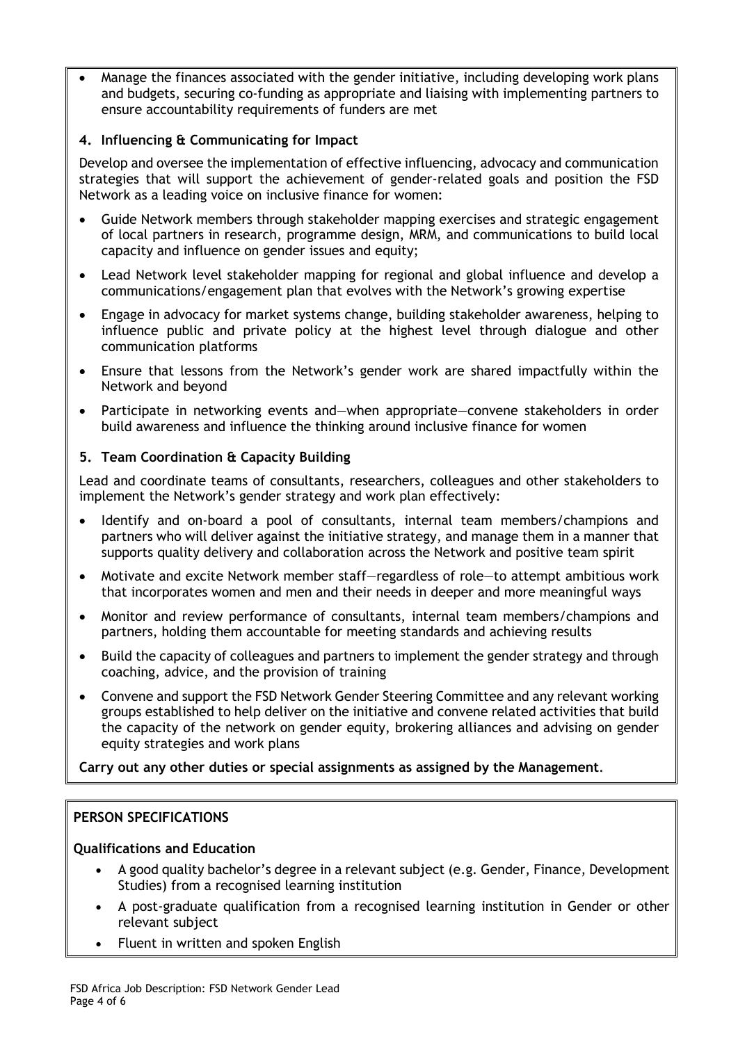• Manage the finances associated with the gender initiative, including developing work plans and budgets, securing co-funding as appropriate and liaising with implementing partners to ensure accountability requirements of funders are met

## **4. Influencing & Communicating for Impact**

Develop and oversee the implementation of effective influencing, advocacy and communication strategies that will support the achievement of gender-related goals and position the FSD Network as a leading voice on inclusive finance for women:

- Guide Network members through stakeholder mapping exercises and strategic engagement of local partners in research, programme design, MRM, and communications to build local capacity and influence on gender issues and equity;
- Lead Network level stakeholder mapping for regional and global influence and develop a communications/engagement plan that evolves with the Network's growing expertise
- Engage in advocacy for market systems change, building stakeholder awareness, helping to influence public and private policy at the highest level through dialogue and other communication platforms
- Ensure that lessons from the Network's gender work are shared impactfully within the Network and beyond
- Participate in networking events and—when appropriate—convene stakeholders in order build awareness and influence the thinking around inclusive finance for women

### **5. Team Coordination & Capacity Building**

Lead and coordinate teams of consultants, researchers, colleagues and other stakeholders to implement the Network's gender strategy and work plan effectively:

- Identify and on-board a pool of consultants, internal team members/champions and partners who will deliver against the initiative strategy, and manage them in a manner that supports quality delivery and collaboration across the Network and positive team spirit
- Motivate and excite Network member staff—regardless of role—to attempt ambitious work that incorporates women and men and their needs in deeper and more meaningful ways
- Monitor and review performance of consultants, internal team members/champions and partners, holding them accountable for meeting standards and achieving results
- Build the capacity of colleagues and partners to implement the gender strategy and through coaching, advice, and the provision of training
- Convene and support the FSD Network Gender Steering Committee and any relevant working groups established to help deliver on the initiative and convene related activities that build the capacity of the network on gender equity, brokering alliances and advising on gender equity strategies and work plans

**Carry out any other duties or special assignments as assigned by the Management**.

### **PERSON SPECIFICATIONS**

### **Qualifications and Education**

- A good quality bachelor's degree in a relevant subject (e.g. Gender, Finance, Development Studies) from a recognised learning institution
- A post-graduate qualification from a recognised learning institution in Gender or other relevant subject
- Fluent in written and spoken English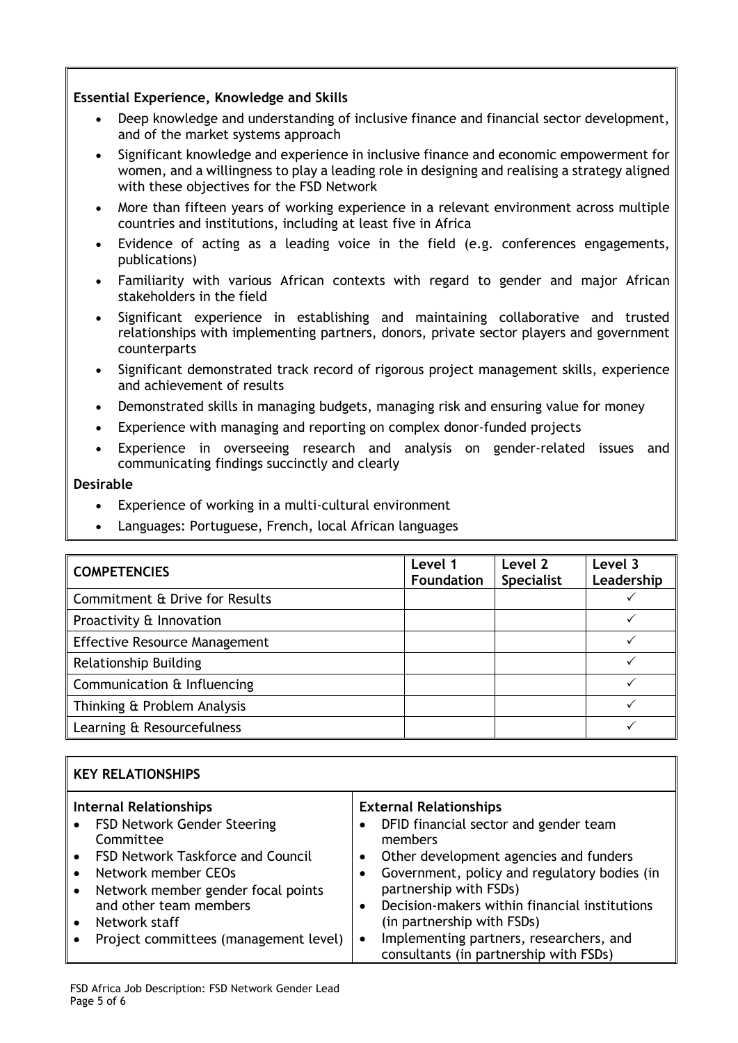#### **Essential Experience, Knowledge and Skills**

- Deep knowledge and understanding of inclusive finance and financial sector development, and of the market systems approach
- Significant knowledge and experience in inclusive finance and economic empowerment for women, and a willingness to play a leading role in designing and realising a strategy aligned with these objectives for the FSD Network
- More than fifteen years of working experience in a relevant environment across multiple countries and institutions, including at least five in Africa
- Evidence of acting as a leading voice in the field (e.g. conferences engagements, publications)
- Familiarity with various African contexts with regard to gender and major African stakeholders in the field
- Significant experience in establishing and maintaining collaborative and trusted relationships with implementing partners, donors, private sector players and government counterparts
- Significant demonstrated track record of rigorous project management skills, experience and achievement of results
- Demonstrated skills in managing budgets, managing risk and ensuring value for money
- Experience with managing and reporting on complex donor-funded projects
- Experience in overseeing research and analysis on gender-related issues and communicating findings succinctly and clearly

#### **Desirable**

- Experience of working in a multi-cultural environment
- Languages: Portuguese, French, local African languages

| <b>COMPETENCIES</b>                  | Level 1<br><b>Foundation</b> | Level 2<br><b>Specialist</b> | Level 3<br>Leadership |
|--------------------------------------|------------------------------|------------------------------|-----------------------|
| Commitment & Drive for Results       |                              |                              |                       |
| Proactivity & Innovation             |                              |                              |                       |
| <b>Effective Resource Management</b> |                              |                              |                       |
| <b>Relationship Building</b>         |                              |                              |                       |
| Communication & Influencing          |                              |                              |                       |
| Thinking & Problem Analysis          |                              |                              |                       |
| Learning & Resourcefulness           |                              |                              |                       |

| <b>KEY RELATIONSHIPS</b>                                                                                                                                                                                                                                               |                                                                                                                                                                                                                                                                                                                                                                                                     |  |  |
|------------------------------------------------------------------------------------------------------------------------------------------------------------------------------------------------------------------------------------------------------------------------|-----------------------------------------------------------------------------------------------------------------------------------------------------------------------------------------------------------------------------------------------------------------------------------------------------------------------------------------------------------------------------------------------------|--|--|
| <b>Internal Relationships</b><br>FSD Network Gender Steering<br>Committee<br><b>FSD Network Taskforce and Council</b><br>Network member CEOs<br>Network member gender focal points<br>and other team members<br>Network staff<br>Project committees (management level) | <b>External Relationships</b><br>DFID financial sector and gender team<br>members<br>Other development agencies and funders<br>Government, policy and regulatory bodies (in<br>partnership with FSDs)<br>Decision-makers within financial institutions<br>$\bullet$<br>(in partnership with FSDs)<br>Implementing partners, researchers, and<br>$\bullet$<br>consultants (in partnership with FSDs) |  |  |